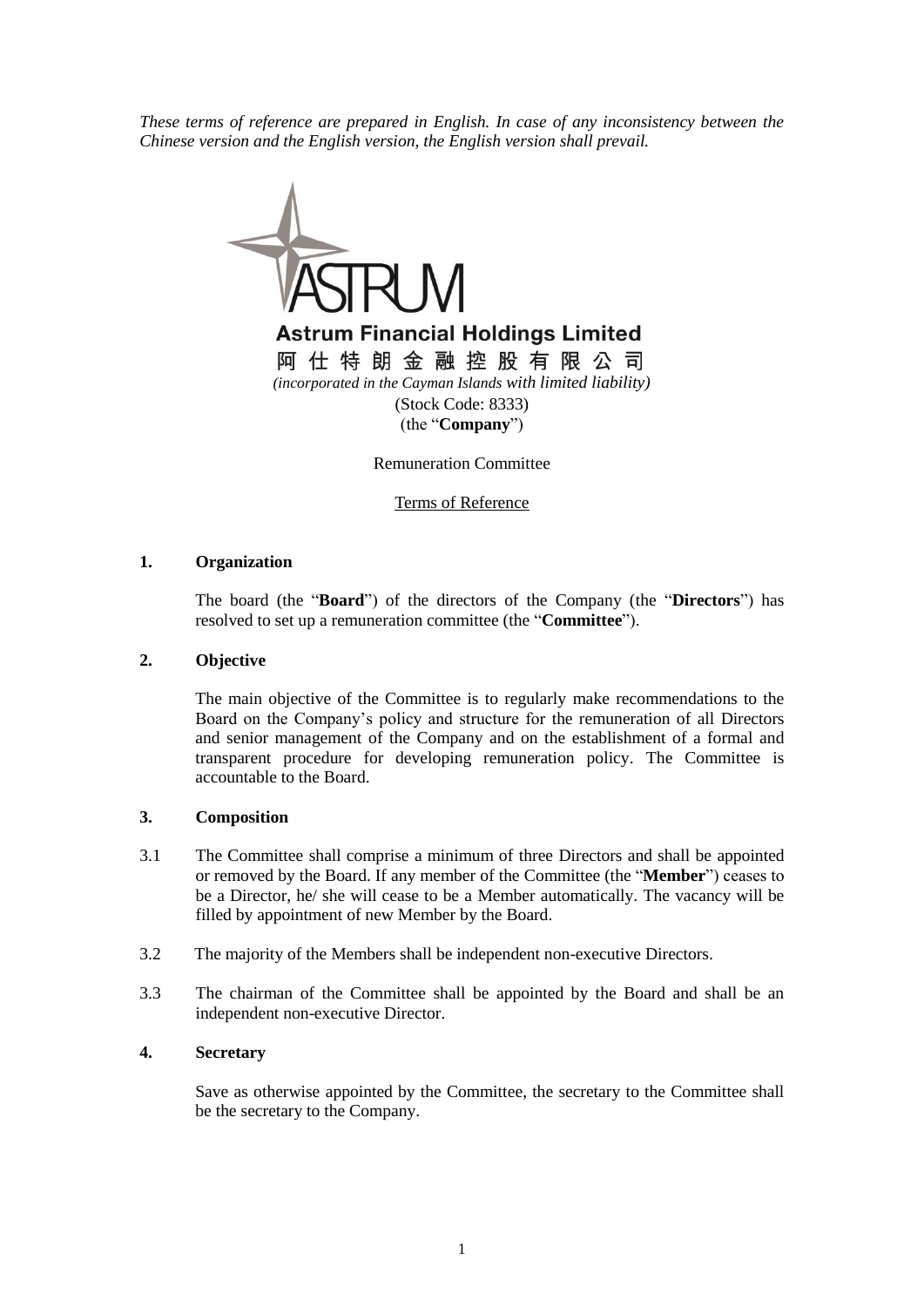*These terms of reference are prepared in English. In case of any inconsistency between the Chinese version and the English version, the English version shall prevail.*



Remuneration Committee

Terms of Reference

#### **1. Organization**

The board (the "**Board**") of the directors of the Company (the "**Directors**") has resolved to set up a remuneration committee (the "**Committee**").

#### **2. Objective**

The main objective of the Committee is to regularly make recommendations to the Board on the Company's policy and structure for the remuneration of all Directors and senior management of the Company and on the establishment of a formal and transparent procedure for developing remuneration policy. The Committee is accountable to the Board.

#### **3. Composition**

- 3.1 The Committee shall comprise a minimum of three Directors and shall be appointed or removed by the Board. If any member of the Committee (the "**Member**") ceases to be a Director, he/ she will cease to be a Member automatically. The vacancy will be filled by appointment of new Member by the Board.
- 3.2 The majority of the Members shall be independent non-executive Directors.
- 3.3 The chairman of the Committee shall be appointed by the Board and shall be an independent non-executive Director.

# **4. Secretary**

Save as otherwise appointed by the Committee, the secretary to the Committee shall be the secretary to the Company.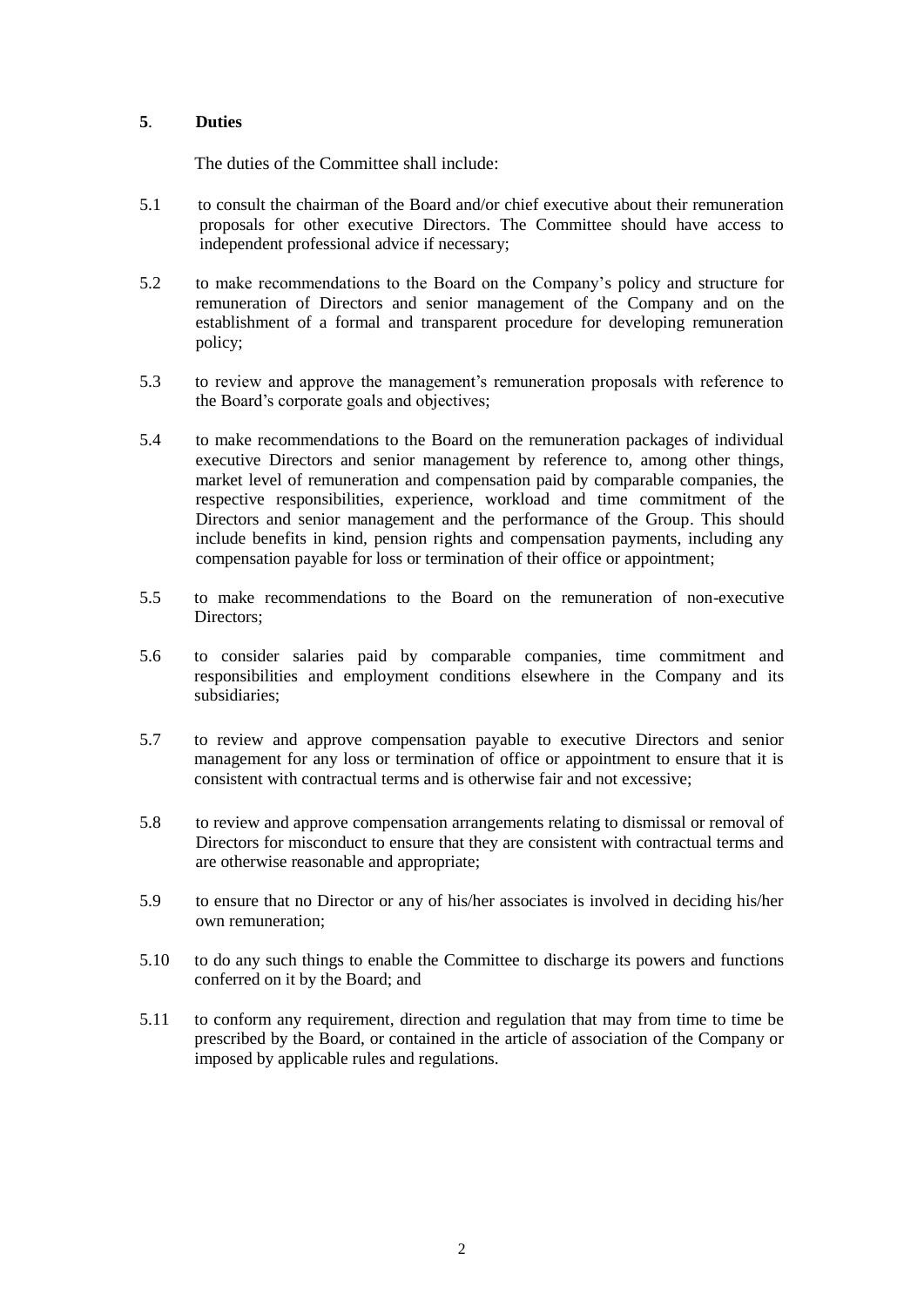# **5**. **Duties**

The duties of the Committee shall include:

- 5.1 to consult the chairman of the Board and/or chief executive about their remuneration proposals for other executive Directors. The Committee should have access to independent professional advice if necessary;
- 5.2 to make recommendations to the Board on the Company's policy and structure for remuneration of Directors and senior management of the Company and on the establishment of a formal and transparent procedure for developing remuneration policy;
- 5.3 to review and approve the management's remuneration proposals with reference to the Board's corporate goals and objectives;
- 5.4 to make recommendations to the Board on the remuneration packages of individual executive Directors and senior management by reference to, among other things, market level of remuneration and compensation paid by comparable companies, the respective responsibilities, experience, workload and time commitment of the Directors and senior management and the performance of the Group. This should include benefits in kind, pension rights and compensation payments, including any compensation payable for loss or termination of their office or appointment;
- 5.5 to make recommendations to the Board on the remuneration of non-executive Directors:
- 5.6 to consider salaries paid by comparable companies, time commitment and responsibilities and employment conditions elsewhere in the Company and its subsidiaries;
- 5.7 to review and approve compensation payable to executive Directors and senior management for any loss or termination of office or appointment to ensure that it is consistent with contractual terms and is otherwise fair and not excessive;
- 5.8 to review and approve compensation arrangements relating to dismissal or removal of Directors for misconduct to ensure that they are consistent with contractual terms and are otherwise reasonable and appropriate;
- 5.9 to ensure that no Director or any of his/her associates is involved in deciding his/her own remuneration;
- 5.10 to do any such things to enable the Committee to discharge its powers and functions conferred on it by the Board; and
- 5.11 to conform any requirement, direction and regulation that may from time to time be prescribed by the Board, or contained in the article of association of the Company or imposed by applicable rules and regulations.